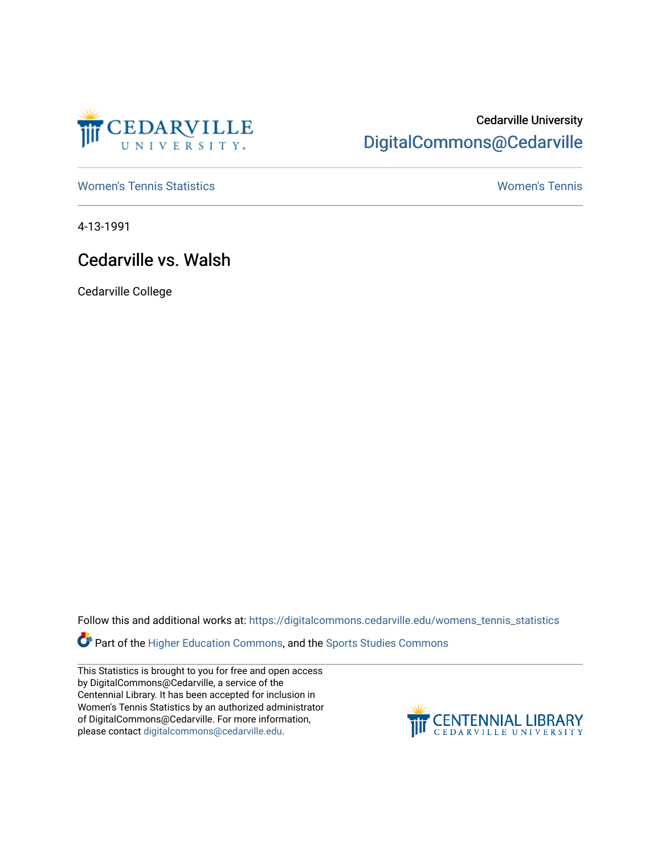

## Cedarville University [DigitalCommons@Cedarville](https://digitalcommons.cedarville.edu/)

[Women's Tennis Statistics](https://digitalcommons.cedarville.edu/womens_tennis_statistics) [Women's Tennis](https://digitalcommons.cedarville.edu/womens_tennis) 

4-13-1991

## Cedarville vs. Walsh

Cedarville College

Follow this and additional works at: [https://digitalcommons.cedarville.edu/womens\\_tennis\\_statistics](https://digitalcommons.cedarville.edu/womens_tennis_statistics?utm_source=digitalcommons.cedarville.edu%2Fwomens_tennis_statistics%2F125&utm_medium=PDF&utm_campaign=PDFCoverPages) 

Part of the [Higher Education Commons,](http://network.bepress.com/hgg/discipline/1245?utm_source=digitalcommons.cedarville.edu%2Fwomens_tennis_statistics%2F125&utm_medium=PDF&utm_campaign=PDFCoverPages) and the [Sports Studies Commons](http://network.bepress.com/hgg/discipline/1198?utm_source=digitalcommons.cedarville.edu%2Fwomens_tennis_statistics%2F125&utm_medium=PDF&utm_campaign=PDFCoverPages) 

This Statistics is brought to you for free and open access by DigitalCommons@Cedarville, a service of the Centennial Library. It has been accepted for inclusion in Women's Tennis Statistics by an authorized administrator of DigitalCommons@Cedarville. For more information, please contact [digitalcommons@cedarville.edu](mailto:digitalcommons@cedarville.edu).